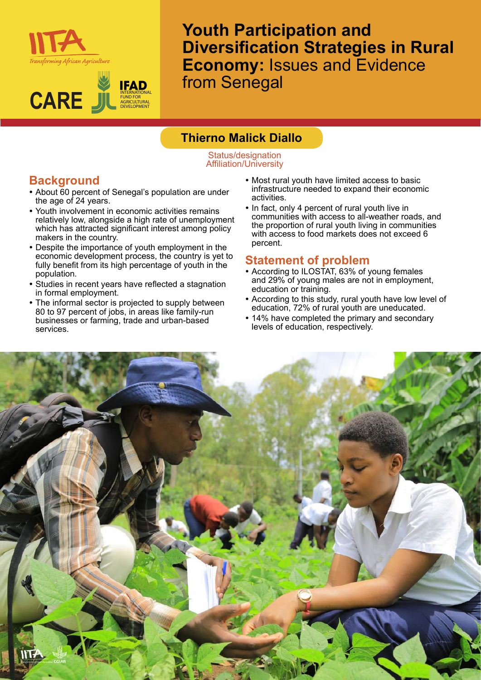



**Youth Participation and Diversification Strategies in Rural Economy:** Issues and Evidence from Senegal

## **Thierno Malick Diallo**

Status/designation Affiliation/University

# **Background**

- About 60 percent of Senegal's population are under the age of 24 years.
- Youth involvement in economic activities remains relatively low, alongside a high rate of unemployment which has attracted significant interest among policy makers in the country.
- Despite the importance of youth employment in the economic development process, the country is yet to fully benefit from its high percentage of youth in the population.
- Studies in recent years have reflected a stagnation in formal employment.
- The informal sector is projected to supply between 80 to 97 percent of jobs, in areas like family-run businesses or farming, trade and urban-based services.
- Most rural youth have limited access to basic infrastructure needed to expand their economic activities.
- In fact, only 4 percent of rural youth live in communities with access to all-weather roads, and the proportion of rural youth living in communities with access to food markets does not exceed 6 percent.

### **Statement of problem**

- According to ILOSTAT, 63% of young females and 29% of young males are not in employment, education or training.
- According to this study, rural youth have low level of education, 72% of rural youth are uneducated.
- 14% have completed the primary and secondary levels of education, respectively.